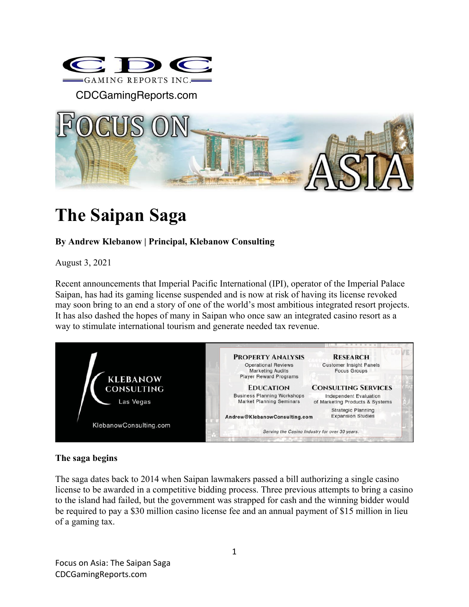

CDCGamingReports.com



# **The Saipan Saga**

## **By Andrew Klebanow | Principal, Klebanow Consulting**

August 3, 2021

Recent announcements that Imperial Pacific International (IPI), operator of the Imperial Palace Saipan, has had its gaming license suspended and is now at risk of having its license revoked may soon bring to an end a story of one of the world's most ambitious integrated resort projects. It has also dashed the hopes of many in Saipan who once saw an integrated casino resort as a way to stimulate international tourism and generate needed tax revenue.



## **The saga begins**

The saga dates back to 2014 when Saipan lawmakers passed a bill authorizing a single casino license to be awarded in a competitive bidding process. Three previous attempts to bring a casino to the island had failed, but the government was strapped for cash and the winning bidder would be required to pay a \$30 million casino license fee and an annual payment of \$15 million in lieu of a gaming tax.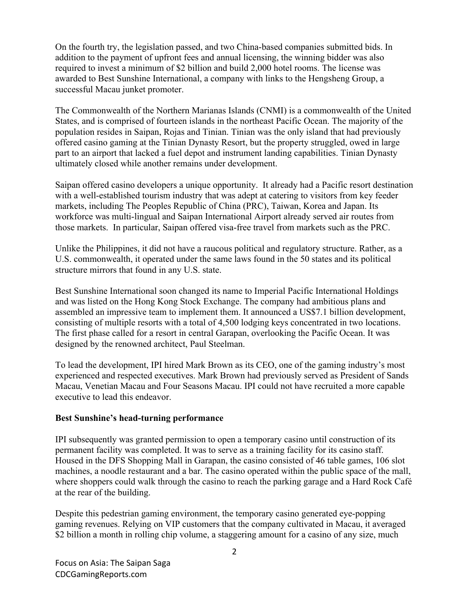On the fourth try, the legislation passed, and two China-based companies submitted bids. In addition to the payment of upfront fees and annual licensing, the winning bidder was also required to invest a minimum of \$2 billion and build 2,000 hotel rooms. The license was awarded to Best Sunshine International, a company with links to the Hengsheng Group, a successful Macau junket promoter.

The Commonwealth of the Northern Marianas Islands (CNMI) is a commonwealth of the United States, and is comprised of fourteen islands in the northeast Pacific Ocean. The majority of the population resides in Saipan, Rojas and Tinian. Tinian was the only island that had previously offered casino gaming at the Tinian Dynasty Resort, but the property struggled, owed in large part to an airport that lacked a fuel depot and instrument landing capabilities. Tinian Dynasty ultimately closed while another remains under development.

Saipan offered casino developers a unique opportunity. It already had a Pacific resort destination with a well-established tourism industry that was adept at catering to visitors from key feeder markets, including The Peoples Republic of China (PRC), Taiwan, Korea and Japan. Its workforce was multi-lingual and Saipan International Airport already served air routes from those markets. In particular, Saipan offered visa-free travel from markets such as the PRC.

Unlike the Philippines, it did not have a raucous political and regulatory structure. Rather, as a U.S. commonwealth, it operated under the same laws found in the 50 states and its political structure mirrors that found in any U.S. state.

Best Sunshine International soon changed its name to Imperial Pacific International Holdings and was listed on the Hong Kong Stock Exchange. The company had ambitious plans and assembled an impressive team to implement them. It announced a US\$7.1 billion development, consisting of multiple resorts with a total of 4,500 lodging keys concentrated in two locations. The first phase called for a resort in central Garapan, overlooking the Pacific Ocean. It was designed by the renowned architect, Paul Steelman.

To lead the development, IPI hired Mark Brown as its CEO, one of the gaming industry's most experienced and respected executives. Mark Brown had previously served as President of Sands Macau, Venetian Macau and Four Seasons Macau. IPI could not have recruited a more capable executive to lead this endeavor.

#### **Best Sunshine's head-turning performance**

IPI subsequently was granted permission to open a temporary casino until construction of its permanent facility was completed. It was to serve as a training facility for its casino staff. Housed in the DFS Shopping Mall in Garapan, the casino consisted of 46 table games, 106 slot machines, a noodle restaurant and a bar. The casino operated within the public space of the mall, where shoppers could walk through the casino to reach the parking garage and a Hard Rock Café at the rear of the building.

Despite this pedestrian gaming environment, the temporary casino generated eye-popping gaming revenues. Relying on VIP customers that the company cultivated in Macau, it averaged \$2 billion a month in rolling chip volume, a staggering amount for a casino of any size, much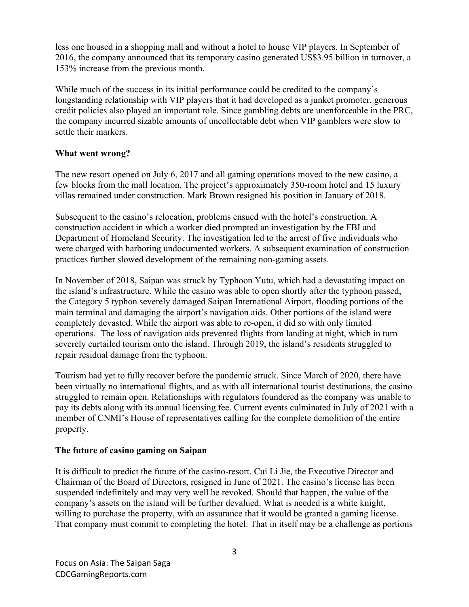less one housed in a shopping mall and without a hotel to house VIP players. In September of 2016, the company announced that its temporary casino generated US\$3.95 billion in turnover, a 153% increase from the previous month.

While much of the success in its initial performance could be credited to the company's longstanding relationship with VIP players that it had developed as a junket promoter, generous credit policies also played an important role. Since gambling debts are unenforceable in the PRC, the company incurred sizable amounts of uncollectable debt when VIP gamblers were slow to settle their markers.

## **What went wrong?**

The new resort opened on July 6, 2017 and all gaming operations moved to the new casino, a few blocks from the mall location. The project's approximately 350-room hotel and 15 luxury villas remained under construction. Mark Brown resigned his position in January of 2018.

Subsequent to the casino's relocation, problems ensued with the hotel's construction. A construction accident in which a worker died prompted an investigation by the FBI and Department of Homeland Security. The investigation led to the arrest of five individuals who were charged with harboring undocumented workers. A subsequent examination of construction practices further slowed development of the remaining non-gaming assets.

In November of 2018, Saipan was struck by Typhoon Yutu, which had a devastating impact on the island's infrastructure. While the casino was able to open shortly after the typhoon passed, the Category 5 typhon severely damaged Saipan International Airport, flooding portions of the main terminal and damaging the airport's navigation aids. Other portions of the island were completely devasted. While the airport was able to re-open, it did so with only limited operations. The loss of navigation aids prevented flights from landing at night, which in turn severely curtailed tourism onto the island. Through 2019, the island's residents struggled to repair residual damage from the typhoon.

Tourism had yet to fully recover before the pandemic struck. Since March of 2020, there have been virtually no international flights, and as with all international tourist destinations, the casino struggled to remain open. Relationships with regulators foundered as the company was unable to pay its debts along with its annual licensing fee. Current events culminated in July of 2021 with a member of CNMI's House of representatives calling for the complete demolition of the entire property.

## **The future of casino gaming on Saipan**

It is difficult to predict the future of the casino-resort. Cui Li Jie, the Executive Director and Chairman of the Board of Directors, resigned in June of 2021. The casino's license has been suspended indefinitely and may very well be revoked. Should that happen, the value of the company's assets on the island will be further devalued. What is needed is a white knight, willing to purchase the property, with an assurance that it would be granted a gaming license. That company must commit to completing the hotel. That in itself may be a challenge as portions